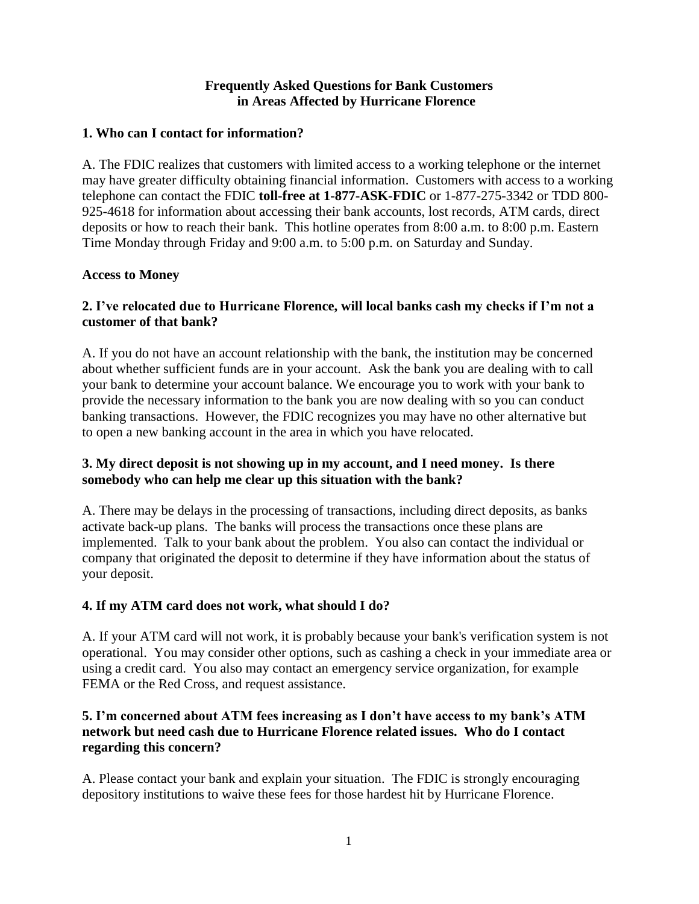### **Frequently Asked Questions for Bank Customers in Areas Affected by Hurricane Florence**

### **1. Who can I contact for information?**

A. The FDIC realizes that customers with limited access to a working telephone or the internet may have greater difficulty obtaining financial information. Customers with access to a working telephone can contact the FDIC **toll-free at 1-877-ASK-FDIC** or 1-877-275-3342 or TDD 800- 925-4618 for information about accessing their bank accounts, lost records, ATM cards, direct deposits or how to reach their bank. This hotline operates from 8:00 a.m. to 8:00 p.m. Eastern Time Monday through Friday and 9:00 a.m. to 5:00 p.m. on Saturday and Sunday.

### **Access to Money**

# **2. I've relocated due to Hurricane Florence, will local banks cash my checks if I'm not a customer of that bank?**

A. If you do not have an account relationship with the bank, the institution may be concerned about whether sufficient funds are in your account. Ask the bank you are dealing with to call your bank to determine your account balance. We encourage you to work with your bank to provide the necessary information to the bank you are now dealing with so you can conduct banking transactions. However, the FDIC recognizes you may have no other alternative but to open a new banking account in the area in which you have relocated.

# **3. My direct deposit is not showing up in my account, and I need money. Is there somebody who can help me clear up this situation with the bank?**

A. There may be delays in the processing of transactions, including direct deposits, as banks activate back-up plans. The banks will process the transactions once these plans are implemented. Talk to your bank about the problem. You also can contact the individual or company that originated the deposit to determine if they have information about the status of your deposit.

# **4. If my ATM card does not work, what should I do?**

A. If your ATM card will not work, it is probably because your bank's verification system is not operational. You may consider other options, such as cashing a check in your immediate area or using a credit card. You also may contact an emergency service organization, for example FEMA or the Red Cross, and request assistance.

### **5. I'm concerned about ATM fees increasing as I don't have access to my bank's ATM network but need cash due to Hurricane Florence related issues. Who do I contact regarding this concern?**

A. Please contact your bank and explain your situation. The FDIC is strongly encouraging depository institutions to waive these fees for those hardest hit by Hurricane Florence.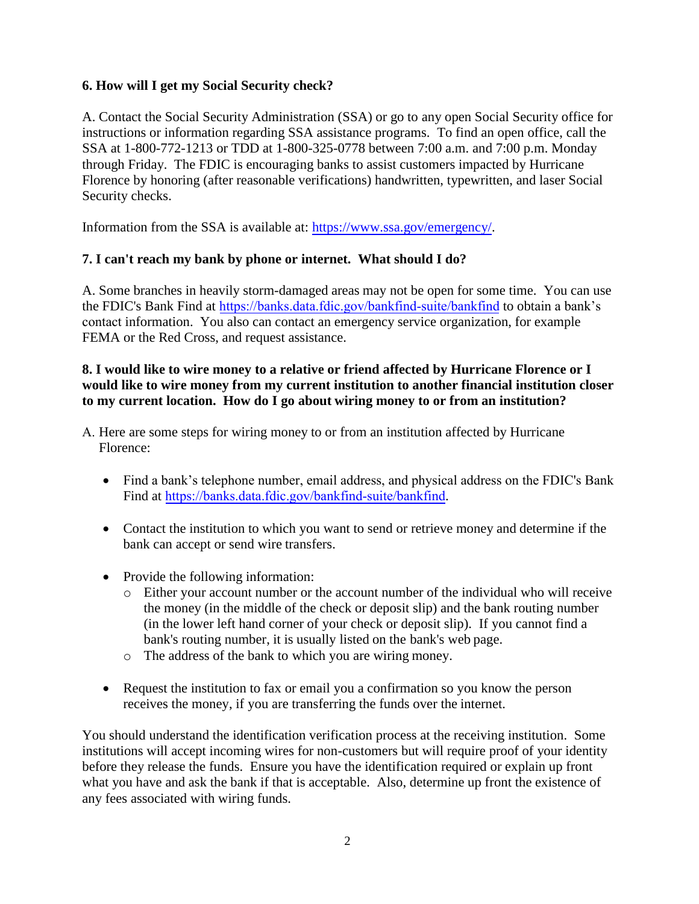# **6. How will I get my Social Security check?**

A. Contact the Social Security Administration (SSA) or go to any open Social Security office for instructions or information regarding SSA assistance programs. To find an open office, call the SSA at 1-800-772-1213 or TDD at 1-800-325-0778 between 7:00 a.m. and 7:00 p.m. Monday through Friday. The FDIC is encouraging banks to assist customers impacted by Hurricane Florence by honoring (after reasonable verifications) handwritten, typewritten, and laser Social Security checks.

Information from the SSA is available at: [https://www.ssa.gov/emergency/.](https://www.ssa.gov/agency/emergency/)

# **7. I can't reach my bank by phone or internet. What should I do?**

A. Some branches in heavily storm-damaged areas may not be open for some time. You can use the FDIC's Bank Find at <https://banks.data.fdic.gov/bankfind-suite/bankfind> to obtain a bank's contact information. You also can contact an emergency service organization, for example FEMA or the Red Cross, and request assistance.

### **8. I would like to wire money to a relative or friend affected by Hurricane Florence or I would like to wire money from my current institution to another financial institution closer to my current location. How do I go about wiring money to or from an institution?**

- A. Here are some steps for wiring money to or from an institution affected by Hurricane Florence:
	- Find a bank's telephone number, email address, and physical address on the FDIC's Bank Find at [https://banks.data.fdic.gov/bankfind-suite/bankfind](https://research.fdic.gov/bankfind).
	- Contact the institution to which you want to send or retrieve money and determine if the bank can accept or send wire transfers.
	- Provide the following information:
		- o Either your account number or the account number of the individual who will receive the money (in the middle of the check or deposit slip) and the bank routing number (in the lower left hand corner of your check or deposit slip). If you cannot find a bank's routing number, it is usually listed on the bank's web page.
		- o The address of the bank to which you are wiring money.
	- Request the institution to fax or email you a confirmation so you know the person receives the money, if you are transferring the funds over the internet.

You should understand the identification verification process at the receiving institution. Some institutions will accept incoming wires for non-customers but will require proof of your identity before they release the funds. Ensure you have the identification required or explain up front what you have and ask the bank if that is acceptable. Also, determine up front the existence of any fees associated with wiring funds.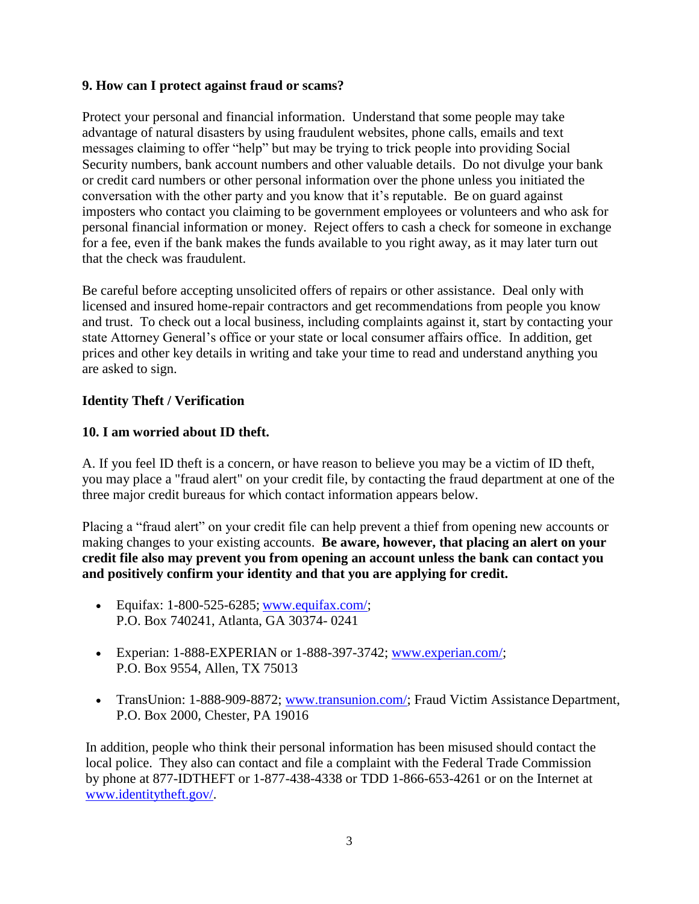### **9. How can I protect against fraud or scams?**

Protect your personal and financial information. Understand that some people may take advantage of natural disasters by using fraudulent websites, phone calls, emails and text messages claiming to offer "help" but may be trying to trick people into providing Social Security numbers, bank account numbers and other valuable details. Do not divulge your bank or credit card numbers or other personal information over the phone unless you initiated the conversation with the other party and you know that it's reputable. Be on guard against imposters who contact you claiming to be government employees or volunteers and who ask for personal financial information or money. Reject offers to cash a check for someone in exchange for a fee, even if the bank makes the funds available to you right away, as it may later turn out that the check was fraudulent.

Be careful before accepting unsolicited offers of repairs or other assistance. Deal only with licensed and insured home-repair contractors and get recommendations from people you know and trust. To check out a local business, including complaints against it, start by contacting your state Attorney General's office or your state or local consumer affairs office. In addition, get prices and other key details in writing and take your time to read and understand anything you are asked to sign.

### **Identity Theft / Verification**

### **10. I am worried about ID theft.**

A. If you feel ID theft is a concern, or have reason to believe you may be a victim of ID theft, you may place a "fraud alert" on your credit file, by contacting the fraud department at one of the three major credit bureaus for which contact information appears below.

Placing a "fraud alert" on your credit file can help prevent a thief from opening new accounts or making changes to your existing accounts. **Be aware, however, that placing an alert on your credit file also may prevent you from opening an account unless the bank can contact you and positively confirm your identity and that you are applying for credit.** 

- Equitax:  $1-800-525-6285$ ; www.equitax.com/; P.O. Box 740241, Atlanta, GA 30374- 0241
- Experian: 1-888-EXPERIAN or 1-888-397-3742; [www.experian.com/;](http://www.experian.com/) P.O. Box 9554, Allen, TX 75013
- TransUnion: 1-888-909-8872; [www.transunion.com/;](http://www.transunion.com/) Fraud Victim Assistance Department, P.O. Box 2000, Chester, PA 19016

In addition, people who think their personal information has been misused should contact the local police. They also can contact and file a complaint with the Federal Trade Commission by phone at 877-IDTHEFT or 1-877-438-4338 or TDD 1-866-653-4261 or on the Internet at [www.identitytheft.gov/.](https://www.identitytheft.gov/)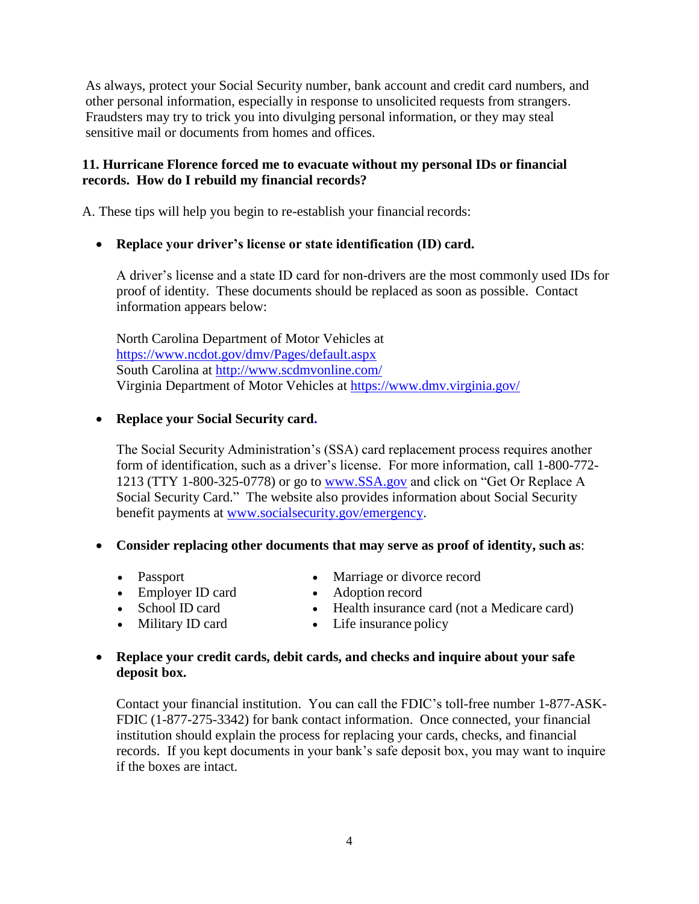As always, protect your Social Security number, bank account and credit card numbers, and other personal information, especially in response to unsolicited requests from strangers. Fraudsters may try to trick you into divulging personal information, or they may steal sensitive mail or documents from homes and offices.

# **11. Hurricane Florence forced me to evacuate without my personal IDs or financial records. How do I rebuild my financial records?**

A. These tips will help you begin to re-establish your financial records:

# **Replace your driver's license or state identification (ID) card.**

A driver's license and a state ID card for non-drivers are the most commonly used IDs for proof of identity. These documents should be replaced as soon as possible. Contact information appears below:

North Carolina Department of Motor Vehicles at <https://www.ncdot.gov/dmv/Pages/default.aspx> South Carolina at<http://www.scdmvonline.com/> Virginia Department of Motor Vehicles at<https://www.dmv.virginia.gov/>

### **Replace your Social Security card.**

The Social Security Administration's (SSA) card replacement process requires another form of identification, such as a driver's license. For more information, call 1-800-772- 1213 (TTY 1-800-325-0778) or go to [www.SSA.gov a](https://www.ssa.gov/)nd click on "Get Or Replace A Social Security Card." The website also provides information about Social Security benefit payments at [www.socialsecurity.gov/emergency.](https://www.socialsecurity.gov/emergency)

#### **Consider replacing other documents that may serve as proof of identity, such as**:

- Passport
- Employer ID card
- School ID card
- Military ID card
- Marriage or divorce record
- Adoption record
- Health insurance card (not a Medicare card)
- Life insurance policy

### **Replace your credit cards, debit cards, and checks and inquire about your safe deposit box.**

Contact your financial institution. You can call the FDIC's toll-free number 1-877-ASK-FDIC (1-877-275-3342) for bank contact information. Once connected, your financial institution should explain the process for replacing your cards, checks, and financial records. If you kept documents in your bank's safe deposit box, you may want to inquire if the boxes are intact.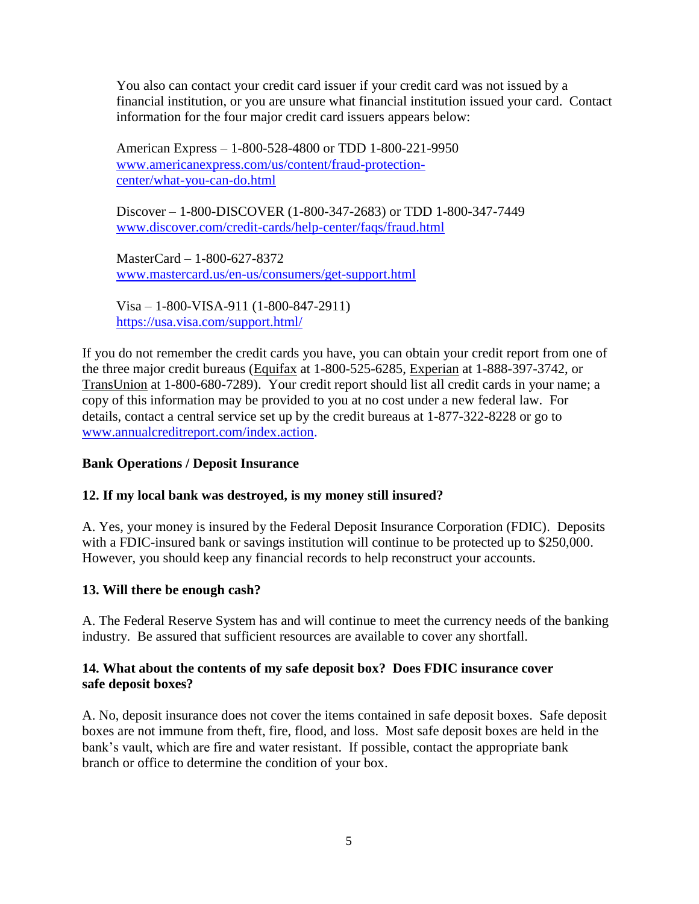You also can contact your credit card issuer if your credit card was not issued by a financial institution, or you are unsure what financial institution issued your card. Contact information for the four major credit card issuers appears below:

American Express – 1-800-528-4800 or TDD 1-800-221-9950 [www.americanexpress.com/us/content/fraud-protection](https://www.americanexpress.com/us/content/fraud-protection-center/what-you-can-do.html)[center/what-you-can-do.html](https://www.americanexpress.com/us/content/fraud-protection-center/what-you-can-do.html)

Discover – 1-800-DISCOVER (1-800-347-2683) or TDD 1-800-347-7449 [www.discover.com/credit-cards/help-center/faqs/fraud.html](https://www.discover.com/credit-cards/help-center/faqs/fraud.html)

MasterCard – 1-800-627-8372 [www.mastercard.us/en-us/consumers/get-support.html](https://www.mastercard.us/en-us/consumers/get-support.html)

Visa – 1-800-VISA-911 (1-800-847-2911) <https://usa.visa.com/support.html/>

If you do not remember the credit cards you have, you can obtain your credit report from one of the three major credit bureaus (Equifax at 1-800-525-6285, Experian at 1-888-397-3742, or TransUnion at 1-800-680-7289). Your credit report should list all credit cards in your name; a copy of this information may be provided to you at no cost under a new federal law. For details, contact a central service set up by the credit bureaus at 1-877-322-8228 or go to [www.annualcreditreport.com/index.action.](https://www.annualcreditreport.com/)

# **Bank Operations / Deposit Insurance**

# **12. If my local bank was destroyed, is my money still insured?**

A. Yes, your money is insured by the Federal Deposit Insurance Corporation (FDIC). Deposits with a FDIC-insured bank or savings institution will continue to be protected up to \$250,000. However, you should keep any financial records to help reconstruct your accounts.

#### **13. Will there be enough cash?**

A. The Federal Reserve System has and will continue to meet the currency needs of the banking industry. Be assured that sufficient resources are available to cover any shortfall.

### **14. What about the contents of my safe deposit box? Does FDIC insurance cover safe deposit boxes?**

A. No, deposit insurance does not cover the items contained in safe deposit boxes. Safe deposit boxes are not immune from theft, fire, flood, and loss. Most safe deposit boxes are held in the bank's vault, which are fire and water resistant. If possible, contact the appropriate bank branch or office to determine the condition of your box.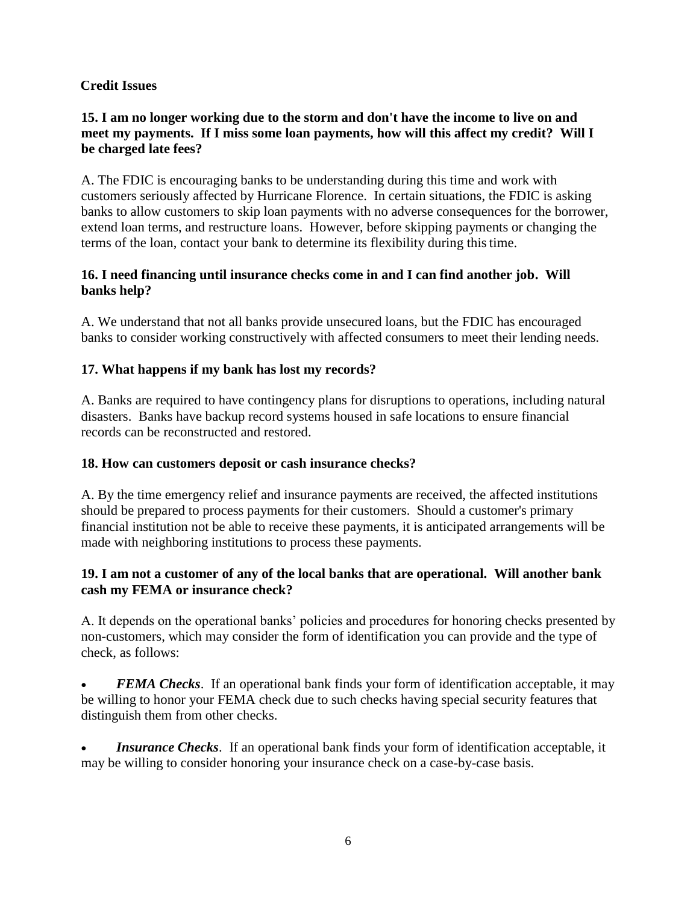# **Credit Issues**

# **15. I am no longer working due to the storm and don't have the income to live on and meet my payments. If I miss some loan payments, how will this affect my credit? Will I be charged late fees?**

A. The FDIC is encouraging banks to be understanding during this time and work with customers seriously affected by Hurricane Florence. In certain situations, the FDIC is asking banks to allow customers to skip loan payments with no adverse consequences for the borrower, extend loan terms, and restructure loans. However, before skipping payments or changing the terms of the loan, contact your bank to determine its flexibility during this time.

# **16. I need financing until insurance checks come in and I can find another job. Will banks help?**

A. We understand that not all banks provide unsecured loans, but the FDIC has encouraged banks to consider working constructively with affected consumers to meet their lending needs.

# **17. What happens if my bank has lost my records?**

A. Banks are required to have contingency plans for disruptions to operations, including natural disasters. Banks have backup record systems housed in safe locations to ensure financial records can be reconstructed and restored.

# **18. How can customers deposit or cash insurance checks?**

A. By the time emergency relief and insurance payments are received, the affected institutions should be prepared to process payments for their customers. Should a customer's primary financial institution not be able to receive these payments, it is anticipated arrangements will be made with neighboring institutions to process these payments.

# **19. I am not a customer of any of the local banks that are operational. Will another bank cash my FEMA or insurance check?**

A. It depends on the operational banks' policies and procedures for honoring checks presented by non-customers, which may consider the form of identification you can provide and the type of check, as follows:

 *FEMA Checks*. If an operational bank finds your form of identification acceptable, it may be willing to honor your FEMA check due to such checks having special security features that distinguish them from other checks.

 *Insurance Checks*. If an operational bank finds your form of identification acceptable, it may be willing to consider honoring your insurance check on a case-by-case basis.